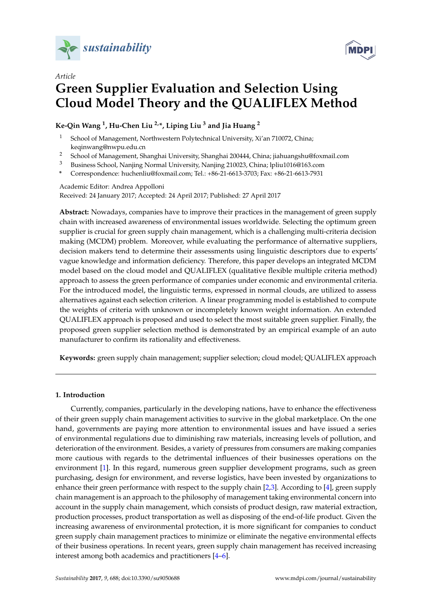



# *Article* **Green Supplier Evaluation and Selection Using Cloud Model Theory and the QUALIFLEX Method**

**Ke-Qin Wang <sup>1</sup> , Hu-Chen Liu 2,\*, Liping Liu <sup>3</sup> and Jia Huang <sup>2</sup>**

- <sup>1</sup> School of Management, Northwestern Polytechnical University, Xi'an 710072, China; keqinwang@nwpu.edu.cn
- <sup>2</sup> School of Management, Shanghai University, Shanghai 200444, China; jiahuangshu@foxmail.com
- <sup>3</sup> Business School, Nanjing Normal University, Nanjing 210023, China; lpliu1016@163.com
- **\*** Correspondence: huchenliu@foxmail.com; Tel.: +86-21-6613-3703; Fax: +86-21-6613-7931

#### Academic Editor: Andrea Appolloni Received: 24 January 2017; Accepted: 24 April 2017; Published: 27 April 2017

**Abstract:** Nowadays, companies have to improve their practices in the management of green supply chain with increased awareness of environmental issues worldwide. Selecting the optimum green supplier is crucial for green supply chain management, which is a challenging multi-criteria decision making (MCDM) problem. Moreover, while evaluating the performance of alternative suppliers, decision makers tend to determine their assessments using linguistic descriptors due to experts' vague knowledge and information deficiency. Therefore, this paper develops an integrated MCDM model based on the cloud model and QUALIFLEX (qualitative flexible multiple criteria method) approach to assess the green performance of companies under economic and environmental criteria. For the introduced model, the linguistic terms, expressed in normal clouds, are utilized to assess alternatives against each selection criterion. A linear programming model is established to compute the weights of criteria with unknown or incompletely known weight information. An extended QUALIFLEX approach is proposed and used to select the most suitable green supplier. Finally, the proposed green supplier selection method is demonstrated by an empirical example of an auto manufacturer to confirm its rationality and effectiveness.

**Keywords:** green supply chain management; supplier selection; cloud model; QUALIFLEX approach

#### **1. Introduction**

Currently, companies, particularly in the developing nations, have to enhance the effectiveness of their green supply chain management activities to survive in the global marketplace. On the one hand, governments are paying more attention to environmental issues and have issued a series of environmental regulations due to diminishing raw materials, increasing levels of pollution, and deterioration of the environment. Besides, a variety of pressures from consumers are making companies more cautious with regards to the detrimental influences of their businesses operations on the environment [\[1\]](#page-14-0). In this regard, numerous green supplier development programs, such as green purchasing, design for environment, and reverse logistics, have been invested by organizations to enhance their green performance with respect to the supply chain [\[2](#page-14-1)[,3\]](#page-14-2). According to [\[4\]](#page-14-3), green supply chain management is an approach to the philosophy of management taking environmental concern into account in the supply chain management, which consists of product design, raw material extraction, production processes, product transportation as well as disposing of the end-of-life product. Given the increasing awareness of environmental protection, it is more significant for companies to conduct green supply chain management practices to minimize or eliminate the negative environmental effects of their business operations. In recent years, green supply chain management has received increasing interest among both academics and practitioners [\[4](#page-14-3)[–6\]](#page-14-4).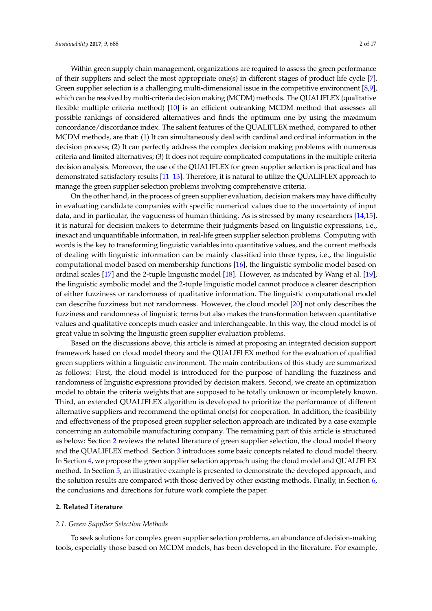Within green supply chain management, organizations are required to assess the green performance of their suppliers and select the most appropriate one(s) in different stages of product life cycle [\[7\]](#page-14-5). Green supplier selection is a challenging multi-dimensional issue in the competitive environment [\[8](#page-14-6)[,9\]](#page-14-7), which can be resolved by multi-criteria decision making (MCDM) methods. The QUALIFLEX (qualitative flexible multiple criteria method) [\[10\]](#page-14-8) is an efficient outranking MCDM method that assesses all possible rankings of considered alternatives and finds the optimum one by using the maximum concordance/discordance index. The salient features of the QUALIFLEX method, compared to other MCDM methods, are that: (1) It can simultaneously deal with cardinal and ordinal information in the decision process; (2) It can perfectly address the complex decision making problems with numerous criteria and limited alternatives; (3) It does not require complicated computations in the multiple criteria decision analysis. Moreover, the use of the QUALIFLEX for green supplier selection is practical and has demonstrated satisfactory results [\[11](#page-14-9)[–13\]](#page-14-10). Therefore, it is natural to utilize the QUALIFLEX approach to manage the green supplier selection problems involving comprehensive criteria.

On the other hand, in the process of green supplier evaluation, decision makers may have difficulty in evaluating candidate companies with specific numerical values due to the uncertainty of input data, and in particular, the vagueness of human thinking. As is stressed by many researchers [\[14,](#page-14-11)[15\]](#page-14-12), it is natural for decision makers to determine their judgments based on linguistic expressions, i.e., inexact and unquantifiable information, in real-life green supplier selection problems. Computing with words is the key to transforming linguistic variables into quantitative values, and the current methods of dealing with linguistic information can be mainly classified into three types, i.e., the linguistic computational model based on membership functions [\[16\]](#page-14-13), the linguistic symbolic model based on ordinal scales [\[17\]](#page-14-14) and the 2-tuple linguistic model [\[18\]](#page-14-15). However, as indicated by Wang et al. [\[19\]](#page-14-16), the linguistic symbolic model and the 2-tuple linguistic model cannot produce a clearer description of either fuzziness or randomness of qualitative information. The linguistic computational model can describe fuzziness but not randomness. However, the cloud model [\[20\]](#page-14-17) not only describes the fuzziness and randomness of linguistic terms but also makes the transformation between quantitative values and qualitative concepts much easier and interchangeable. In this way, the cloud model is of great value in solving the linguistic green supplier evaluation problems.

Based on the discussions above, this article is aimed at proposing an integrated decision support framework based on cloud model theory and the QUALIFLEX method for the evaluation of qualified green suppliers within a linguistic environment. The main contributions of this study are summarized as follows: First, the cloud model is introduced for the purpose of handling the fuzziness and randomness of linguistic expressions provided by decision makers. Second, we create an optimization model to obtain the criteria weights that are supposed to be totally unknown or incompletely known. Third, an extended QUALIFLEX algorithm is developed to prioritize the performance of different alternative suppliers and recommend the optimal one(s) for cooperation. In addition, the feasibility and effectiveness of the proposed green supplier selection approach are indicated by a case example concerning an automobile manufacturing company. The remaining part of this article is structured as below: Section [2](#page-1-0) reviews the related literature of green supplier selection, the cloud model theory and the QUALIFLEX method. Section [3](#page-3-0) introduces some basic concepts related to cloud model theory. In Section [4,](#page-5-0) we propose the green supplier selection approach using the cloud model and QUALIFLEX method. In Section [5,](#page-9-0) an illustrative example is presented to demonstrate the developed approach, and the solution results are compared with those derived by other existing methods. Finally, in Section [6,](#page-13-0) the conclusions and directions for future work complete the paper.

#### <span id="page-1-0"></span>**2. Related Literature**

#### *2.1. Green Supplier Selection Methods*

To seek solutions for complex green supplier selection problems, an abundance of decision-making tools, especially those based on MCDM models, has been developed in the literature. For example,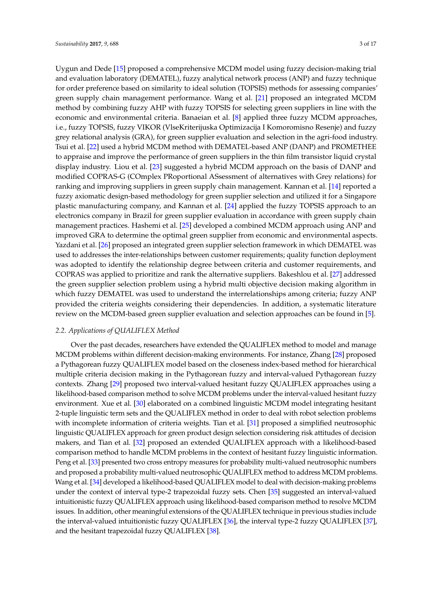Uygun and Dede [\[15\]](#page-14-12) proposed a comprehensive MCDM model using fuzzy decision-making trial and evaluation laboratory (DEMATEL), fuzzy analytical network process (ANP) and fuzzy technique for order preference based on similarity to ideal solution (TOPSIS) methods for assessing companies' green supply chain management performance. Wang et al. [\[21\]](#page-15-0) proposed an integrated MCDM method by combining fuzzy AHP with fuzzy TOPSIS for selecting green suppliers in line with the economic and environmental criteria. Banaeian et al. [\[8\]](#page-14-6) applied three fuzzy MCDM approaches, i.e., fuzzy TOPSIS, fuzzy VIKOR (VlseKriterijuska Optimizacija I Komoromisno Resenje) and fuzzy grey relational analysis (GRA), for green supplier evaluation and selection in the agri-food industry. Tsui et al. [\[22\]](#page-15-1) used a hybrid MCDM method with DEMATEL-based ANP (DANP) and PROMETHEE to appraise and improve the performance of green suppliers in the thin film transistor liquid crystal display industry. Liou et al. [\[23\]](#page-15-2) suggested a hybrid MCDM approach on the basis of DANP and modified COPRAS-G (COmplex PRoportional ASsessment of alternatives with Grey relations) for ranking and improving suppliers in green supply chain management. Kannan et al. [\[14\]](#page-14-11) reported a fuzzy axiomatic design-based methodology for green supplier selection and utilized it for a Singapore plastic manufacturing company, and Kannan et al. [\[24\]](#page-15-3) applied the fuzzy TOPSIS approach to an electronics company in Brazil for green supplier evaluation in accordance with green supply chain management practices. Hashemi et al. [\[25\]](#page-15-4) developed a combined MCDM approach using ANP and improved GRA to determine the optimal green supplier from economic and environmental aspects. Yazdani et al. [\[26\]](#page-15-5) proposed an integrated green supplier selection framework in which DEMATEL was used to addresses the inter-relationships between customer requirements; quality function deployment was adopted to identify the relationship degree between criteria and customer requirements, and COPRAS was applied to prioritize and rank the alternative suppliers. Bakeshlou et al. [\[27\]](#page-15-6) addressed the green supplier selection problem using a hybrid multi objective decision making algorithm in which fuzzy DEMATEL was used to understand the interrelationships among criteria; fuzzy ANP provided the criteria weights considering their dependencies. In addition, a systematic literature review on the MCDM-based green supplier evaluation and selection approaches can be found in [\[5\]](#page-14-18).

#### *2.2. Applications of QUALIFLEX Method*

Over the past decades, researchers have extended the QUALIFLEX method to model and manage MCDM problems within different decision-making environments. For instance, Zhang [\[28\]](#page-15-7) proposed a Pythagorean fuzzy QUALIFLEX model based on the closeness index-based method for hierarchical multiple criteria decision making in the Pythagorean fuzzy and interval-valued Pythagorean fuzzy contexts. Zhang [\[29\]](#page-15-8) proposed two interval-valued hesitant fuzzy QUALIFLEX approaches using a likelihood-based comparison method to solve MCDM problems under the interval-valued hesitant fuzzy environment. Xue et al. [\[30\]](#page-15-9) elaborated on a combined linguistic MCDM model integrating hesitant 2-tuple linguistic term sets and the QUALIFLEX method in order to deal with robot selection problems with incomplete information of criteria weights. Tian et al. [\[31\]](#page-15-10) proposed a simplified neutrosophic linguistic QUALIFLEX approach for green product design selection considering risk attitudes of decision makers, and Tian et al. [\[32\]](#page-15-11) proposed an extended QUALIFLEX approach with a likelihood-based comparison method to handle MCDM problems in the context of hesitant fuzzy linguistic information. Peng et al. [\[33\]](#page-15-12) presented two cross entropy measures for probability multi-valued neutrosophic numbers and proposed a probability multi-valued neutrosophic QUALIFLEX method to address MCDM problems. Wang et al. [\[34\]](#page-15-13) developed a likelihood-based QUALIFLEX model to deal with decision-making problems under the context of interval type-2 trapezoidal fuzzy sets. Chen [\[35\]](#page-15-14) suggested an interval-valued intuitionistic fuzzy QUALIFLEX approach using likelihood-based comparison method to resolve MCDM issues. In addition, other meaningful extensions of the QUALIFLEX technique in previous studies include the interval-valued intuitionistic fuzzy QUALIFLEX [\[36\]](#page-15-15), the interval type-2 fuzzy QUALIFLEX [\[37\]](#page-15-16), and the hesitant trapezoidal fuzzy QUALIFLEX [\[38\]](#page-15-17).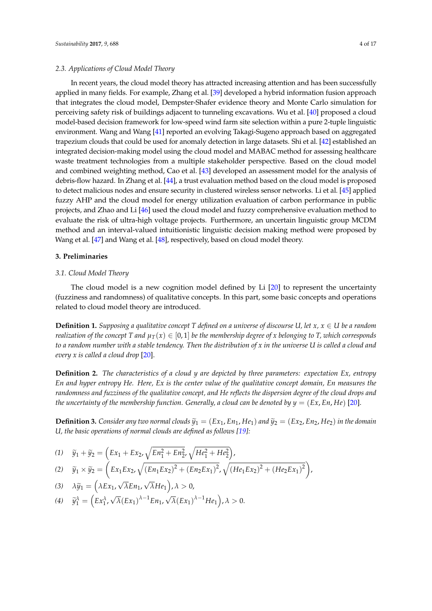#### *2.3. Applications of Cloud Model Theory*

In recent years, the cloud model theory has attracted increasing attention and has been successfully applied in many fields. For example, Zhang et al. [\[39\]](#page-15-18) developed a hybrid information fusion approach that integrates the cloud model, Dempster-Shafer evidence theory and Monte Carlo simulation for perceiving safety risk of buildings adjacent to tunneling excavations. Wu et al. [\[40\]](#page-15-19) proposed a cloud model-based decision framework for low-speed wind farm site selection within a pure 2-tuple linguistic environment. Wang and Wang [\[41\]](#page-15-20) reported an evolving Takagi-Sugeno approach based on aggregated trapezium clouds that could be used for anomaly detection in large datasets. Shi et al. [\[42\]](#page-15-21) established an integrated decision-making model using the cloud model and MABAC method for assessing healthcare waste treatment technologies from a multiple stakeholder perspective. Based on the cloud model and combined weighting method, Cao et al. [\[43\]](#page-15-22) developed an assessment model for the analysis of debris-flow hazard. In Zhang et al. [\[44\]](#page-15-23), a trust evaluation method based on the cloud model is proposed to detect malicious nodes and ensure security in clustered wireless sensor networks. Li et al. [\[45\]](#page-16-0) applied fuzzy AHP and the cloud model for energy utilization evaluation of carbon performance in public projects, and Zhao and Li [\[46\]](#page-16-1) used the cloud model and fuzzy comprehensive evaluation method to evaluate the risk of ultra-high voltage projects. Furthermore, an uncertain linguistic group MCDM method and an interval-valued intuitionistic linguistic decision making method were proposed by Wang et al. [\[47\]](#page-16-2) and Wang et al. [\[48\]](#page-16-3), respectively, based on cloud model theory.

#### <span id="page-3-0"></span>**3. Preliminaries**

#### *3.1. Cloud Model Theory*

The cloud model is a new cognition model defined by Li [\[20\]](#page-14-17) to represent the uncertainty (fuzziness and randomness) of qualitative concepts. In this part, some basic concepts and operations related to cloud model theory are introduced.

**Definition 1.** *Supposing a qualitative concept T defined on a universe of discourse U, let x, x* ∈ *U be a random realization of the concept* T and  $\mu_T(x) \in [0,1]$  *be the membership degree of x belonging to T, which corresponds to a random number with a stable tendency. Then the distribution of x in the universe U is called a cloud and every x is called a cloud drop* [\[20\]](#page-14-17).

**Definition 2.** *The characteristics of a cloud y are depicted by three parameters: expectation Ex, entropy En and hyper entropy He. Here, Ex is the center value of the qualitative concept domain, En measures the randomness and fuzziness of the qualitative concept, and He reflects the dispersion degree of the cloud drops and the uncertainty of the membership function. Generally, a cloud can be denoted by*  $y = (Ex, En, He)$  *[\[20\]](#page-14-17).* 

**Definition 3.** Consider any two normal clouds  $\widetilde{y}_1 = (Ex_1, En_1, He_1)$  and  $\widetilde{y}_2 = (Ex_2, En_2, He_2)$  in the domain *U, the basic operations of normal clouds are defined as follows [\[19\]](#page-14-16):*

,

(1) 
$$
\tilde{y}_1 + \tilde{y}_2 = (Ex_1 + Ex_2, \sqrt{En_1^2 + En_2^2}, \sqrt{He_1^2 + He_2^2}),
$$
  
\n(2)  $\tilde{y}_1 \times \tilde{y}_2 = (Ex_1Ex_2, \sqrt{(En_1Ex_2)^2 + (En_2Ex_1)^2}, \sqrt{(He_1Ex_2)^2 + (He_2Ex_1)^2})$   
\n(3)  $\lambda \tilde{y}_1 = (\lambda Ex_1, \sqrt{\lambda} En_1, \sqrt{\lambda}He_1), \lambda > 0,$   
\n(4)  $\tilde{y}_1^{\lambda} = (Ex_1^{\lambda}, \sqrt{\lambda}(Ex_1)^{\lambda - 1}En_1, \sqrt{\lambda}(Ex_1)^{\lambda - 1}He_1), \lambda > 0.$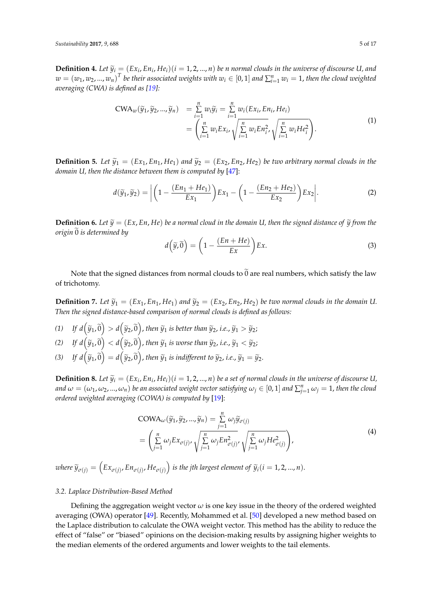**Definition 4.** Let  $\widetilde{y}_i = (Ex_i, En_i, He_i)(i = 1, 2, ..., n)$  be n normal clouds in the universe of discourse U, and  $\sum_{i=1}^{n} I_{i,i}$  the universe of discourse U, and  $w = (w_1, w_2, ..., w_n)^T$  be their associated weights with  $w_i \in [0,1]$  and  $\sum_{i=1}^n w_i = 1$ , then the cloud weighted *averaging (CWA) is defined as [\[19\]](#page-14-16):*

$$
CWA_w(\widetilde{y}_1, \widetilde{y}_2, ..., \widetilde{y}_n) = \sum_{i=1}^n w_i \widetilde{y}_i = \sum_{i=1}^n w_i (Ex_i, En_i, He_i)
$$
  
= 
$$
\left(\sum_{i=1}^n w_i Ex_i, \sqrt{\sum_{i=1}^n w_i En_i^2}, \sqrt{\sum_{i=1}^n w_i He_i^2}\right).
$$
 (1)

**Definition 5.** Let  $\widetilde{y}_1 = (Ex_1, En_1, He_1)$  and  $\widetilde{y}_2 = (Ex_2, En_2, He_2)$  be two arbitrary normal clouds in the *domain U, then the distance between them is computed by* [\[47\]](#page-16-2):

$$
d(\widetilde{y}_1, \widetilde{y}_2) = \left| \left( 1 - \frac{(En_1 + He_1)}{Ex_1} \right) Ex_1 - \left( 1 - \frac{(En_2 + He_2)}{Ex_2} \right) Ex_2 \right|.
$$
 (2)

**Definition 6.** Let  $\widetilde{y} = (Ex, En, He)$  be a normal cloud in the domain U, then the signed distance of  $\widetilde{y}$  from the *origin*  $\overline{0}$  *is determined by* 

$$
d\left(\widetilde{y},\widetilde{0}\right) = \left(1 - \frac{(En + He)}{Ex}\right)Ex.\tag{3}
$$

Note that the signed distances from normal clouds to  $\widetilde{0}$  are real numbers, which satisfy the law of trichotomy.

**Definition 7.** Let  $\tilde{y}_1 = (Ex_1, En_1, He_1)$  and  $\tilde{y}_2 = (Ex_2, En_2, He_2)$  be two normal clouds in the domain U. *Then the signed distance-based comparison of normal clouds is defined as follows:*

- $(f1)$  *If*  $d\left(\widetilde{y}_1, \widetilde{0}\right) > d\left(\widetilde{y}_2, \widetilde{0}\right)$ *, then*  $\widetilde{y}_1$  *is better than*  $\widetilde{y}_2$ *, i.e.,*  $\widetilde{y}_1 > \widetilde{y}_2$ *;*
- (2) If  $d\left(\widetilde{y}_1, \widetilde{0}\right) < d\left(\widetilde{y}_2, \widetilde{0}\right)$ , then  $\widetilde{y}_1$  is worse than  $\widetilde{y}_2$ , i.e.,  $\widetilde{y}_1 < \widetilde{y}_2$ ;
- (3) *If*  $d\left(\widetilde{y}_1, \widetilde{0}\right) = d\left(\widetilde{y}_2, \widetilde{0}\right)$ *, then*  $\widetilde{y}_1$  *is indifferent to*  $\widetilde{y}_2$ *, i.e.,*  $\widetilde{y}_1 = \widetilde{y}_2$ *.*

**Definition 8.** Let  $\widetilde{y}_i = (Ex_i, En_i, He_i)(i = 1, 2, ..., n)$  be a set of normal clouds in the universe of discourse U, *and*  $\omega = (\omega_1, \omega_2, ..., \omega_n)$  be an associated weight vector satisfying  $\omega_j \in [0,1]$  and  $\sum_{j=1}^n \omega_j = 1$ , then the cloud *ordered weighted averaging (COWA) is computed by* [\[19\]](#page-14-16):

$$
COMA_{\omega}(\tilde{y}_1, \tilde{y}_2, ..., \tilde{y}_n) = \sum_{j=1}^n \omega_j \tilde{y}_{\sigma(j)}
$$
  
= 
$$
\left(\sum_{j=1}^n \omega_j E x_{\sigma(j)}, \sqrt{\sum_{j=1}^n \omega_j E n_{\sigma(j)}^2}, \sqrt{\sum_{j=1}^n \omega_j H e_{\sigma(j)}^2}\right),
$$
 (4)

 $\hat{y}_{\sigma(j)} = (Ex_{\sigma(j)}, Ex_{\sigma(j)}, He_{\sigma(j)})$  is the jth largest element of  $\widetilde{y}_i (i = 1, 2, ..., n)$ .

#### *3.2. Laplace Distribution-Based Method*

Defining the aggregation weight vector  $\omega$  is one key issue in the theory of the ordered weighted averaging (OWA) operator [\[49\]](#page-16-4). Recently, Mohammed et al. [\[50\]](#page-16-5) developed a new method based on the Laplace distribution to calculate the OWA weight vector. This method has the ability to reduce the effect of "false" or "biased" opinions on the decision-making results by assigning higher weights to the median elements of the ordered arguments and lower weights to the tail elements.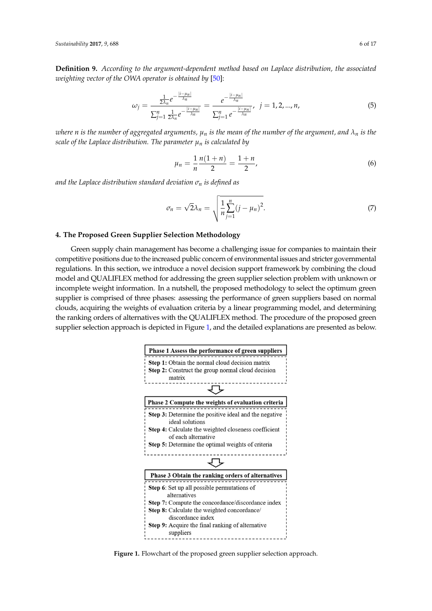**Definition 9.** *According to the argument-dependent method based on Laplace distribution, the associated i weighting vector of the OWA operator is obtained by* [\[50\]](#page-16-5): 1 *n pumen vy* [90]. tained by [<mark>50]</mark>:

$$
\omega_j = \frac{\frac{1}{2\lambda_n} e^{-\frac{|i-\mu_n|}{\lambda_n}}}{\sum_{j=1}^n \frac{1}{2\lambda_n} e^{-\frac{|i-\mu_n|}{\lambda_n}}} = \frac{e^{-\frac{|i-\mu_n|}{\lambda_n}}}{\sum_{j=1}^n e^{-\frac{|i-\mu_n|}{\lambda_n}}}, \ \ j = 1, 2, ..., n,
$$
\n(5)

where n is the number of aggregated arguments,  $\mu_n$  is the mean of the number of the argument, and  $\lambda_n$  is the *scale of the Laplace distribution. The parameter*  $\mu_n$  *is calculated by* 

$$
\mu_n = \frac{1}{n} \frac{n(1+n)}{2} = \frac{1+n}{2},\tag{6}
$$

*and the Laplace distribution standard deviation σ<sup>n</sup> is defined as and the Laplace distribution standard deviation <sup>n</sup> is defined as* 

$$
\sigma_n = \sqrt{2\lambda_n} = \sqrt{\frac{1}{n} \sum_{j=1}^n (j - \mu_n)^2}.
$$
\n(7)

# <span id="page-5-0"></span>**4. The Proposed Green Supplier Selection Methodology 4. The Proposed Green Supplier Selection Methodology**

Green supply chain management has become a challenging issue for companies to maintain their Green supply chain management has become a challenging issue for companies to maintain their competitive positions due to the increased public concern of environmental issues and stricter governmental contra<br>Letter decision support framework by intervention support framework by intervention support framework by in regulations. In this section, we introduce a novel decision support framework by combining the cloud in the cloud model and QUALIFLEX method for addressing the green supplier selection problem with unknown or incomplete weight information. In a nutshell, the proposed methodology to select the optimum green in the performance of the performance of the performance of the performance of the performance of the performance of green supplier is comprised of three phases: assessing the performance of green suppliers based on normal clouds, and the weights of evaluation criteria by a linear state of evaluation criteria by a linear state of evaluation cr clouds, acquiring the weights of evaluation criteria by a linear programming model, and determining the ranking the ranking order of alternatives with the QUALIFLEX with the T the ranking orders of alternatives with the QUALIFLEX method. The procedure of the proposed green is depicted in Figure 1, and the proposed green suppliers of all the proposed green suppliers of the proposed green supplier supplier selection approach is depicted in Figure [1,](#page-5-1) and the detailed explanations are presented as below.<br> competitive property chain management has been a chain right issue to companies to manual inclu-

<span id="page-5-1"></span>

**Figure 1.** Flowchart of the proposed green supplier selection approach. **Figure 1.** Flowchart of the proposed green supplier selection approach.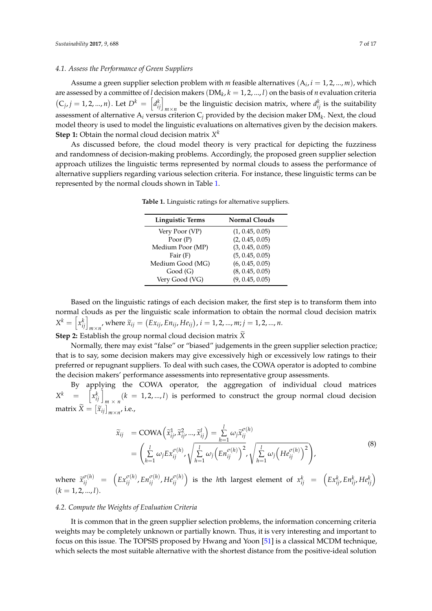#### *4.1. Assess the Performance of Green Suppliers*

Assume a green supplier selection problem with *m* feasible alternatives  $(A_i, i = 1, 2, ..., m)$ , which are assessed by a committee of *l* decision makers (DM*<sup>k</sup>* , *k* = 1, 2, ..., *l*) on the basis of *n* evaluation criteria  $(C_j, j = 1, 2, ..., n)$ . Let  $D^k = \left[d_{ij}^k\right]_{m \times n}$  be the linguistic decision matrix, where  $d_{ij}^k$  is the suitability assessment of alternative A*<sup>i</sup>* versus criterion C*<sup>j</sup>* provided by the decision maker DM*<sup>k</sup>* . Next, the cloud model theory is used to model the linguistic evaluations on alternatives given by the decision makers. **Step 1:** Obtain the normal cloud decision matrix *X k*

<span id="page-6-0"></span>As discussed before, the cloud model theory is very practical for depicting the fuzziness and randomness of decision-making problems. Accordingly, the proposed green supplier selection approach utilizes the linguistic terms represented by normal clouds to assess the performance of alternative suppliers regarding various selection criteria. For instance, these linguistic terms can be represented by the normal clouds shown in Table [1.](#page-6-0)

| <b>Linguistic Terms</b> | <b>Normal Clouds</b> |
|-------------------------|----------------------|
| Very Poor (VP)          | (1, 0.45, 0.05)      |
| Poor $(P)$              | (2, 0.45, 0.05)      |
| Medium Poor (MP)        | (3, 0.45, 0.05)      |
| Fair $(F)$              | (5, 0.45, 0.05)      |
| Medium Good (MG)        | (6, 0.45, 0.05)      |
| Good(G)                 | (8, 0.45, 0.05)      |
| Very Good (VG)          | (9, 0.45, 0.05)      |

**Table 1.** Linguistic ratings for alternative suppliers.

Based on the linguistic ratings of each decision maker, the first step is to transform them into normal clouds as per the linguistic scale information to obtain the normal cloud decision matrix  $X^k = \left[ x^k_{ij} \right]_{m \times n'}$ , where  $\widetilde{x}_{ij} = (Ex_{ij}, En_{ij}, He_{ij}), i = 1, 2, ..., m; j = 1, 2, ..., n$ .

**Step 2:** Establish the group normal cloud decision matrix  $\widetilde{X}$ 

Normally, there may exist "false" or "biased" judgements in the green supplier selection practice; that is to say, some decision makers may give excessively high or excessively low ratings to their preferred or repugnant suppliers. To deal with such cases, the COWA operator is adopted to combine the decision makers' performance assessments into representative group assessments.

By applying the COWA operator, the aggregation of individual cloud matrices  $X^k$  =  $\left[x_{ij}^k\right]_{m \times n}$   $(k = 1, 2, ..., l)$  is performed to construct the group normal cloud decision matrix  $\widetilde{X} = \left[ \widetilde{x}_{ij} \right]_{m \times n'}$  i.e.,

$$
\begin{split} \widetilde{x}_{ij} &= \text{COWA}\left(\widetilde{x}_{ij}^1, \widetilde{x}_{ij}^2, \dots, \widetilde{x}_{ij}^l\right) = \sum_{h=1}^l \omega_j \widetilde{x}_{ij}^{\sigma(h)} \\ &= \left(\sum_{h=1}^l \omega_j E x_{ij}^{\sigma(h)}, \sqrt{\sum_{h=1}^l \omega_j \left(E n_{ij}^{\sigma(h)}\right)^2}, \sqrt{\sum_{h=1}^l \omega_j \left(H e_{ij}^{\sigma(h)}\right)^2}\right), \end{split} \tag{8}
$$

where  $\tilde{x}_{ij}^{\sigma(h)} = (Ex_{ij}^{\sigma(h)}, Ex_{ij}^{\sigma(h)}, He_{ij}^{\sigma(h)})$  is the hth largest element of  $x_{ij}^k = (Ex_{ij}^k, Eh_{ij}^k, He_{ij}^k)$  $(k = 1, 2, ..., l).$ 

#### *4.2. Compute the Weights of Evaluation Criteria*

It is common that in the green supplier selection problems, the information concerning criteria weights may be completely unknown or partially known. Thus, it is very interesting and important to focus on this issue. The TOPSIS proposed by Hwang and Yoon [\[51\]](#page-16-6) is a classical MCDM technique, which selects the most suitable alternative with the shortest distance from the positive-ideal solution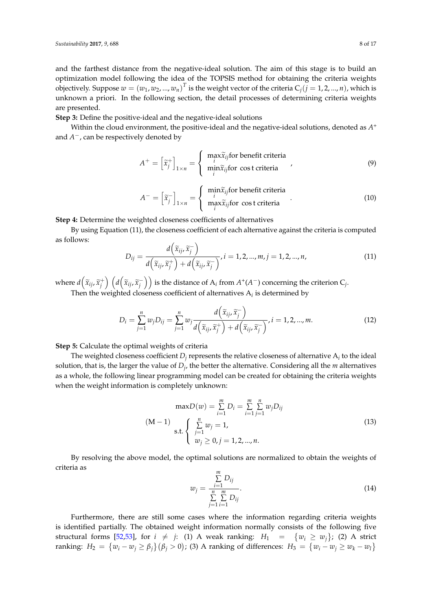and the farthest distance from the negative-ideal solution. The aim of this stage is to build an optimization model following the idea of the TOPSIS method for obtaining the criteria weights objectively. Suppose  $w = (w_1, w_2, ..., w_n)^T$  is the weight vector of the criteria  $C_j (j = 1, 2, ..., n)$ , which is unknown a priori. In the following section, the detail processes of determining criteria weights are presented.

**Step 3:** Define the positive-ideal and the negative-ideal solutions

Within the cloud environment, the positive-ideal and the negative-ideal solutions, denoted as *A* + and *A* <sup>−</sup>, can be respectively denoted by

$$
A^{+} = \left[\tilde{x}_{j}^{+}\right]_{1 \times n} = \begin{cases} \max_{i} \tilde{x}_{ij} \text{ for benefit criteria} \\ \min_{i} \tilde{x}_{ij} \text{ for cost criteria} \end{cases} (9)
$$

$$
A^{-} = \left[\widetilde{x}_{j}^{-}\right]_{1 \times n} = \begin{cases} \min_{i} \widetilde{x}_{ij} \text{for benefit criteria} \\ \max_{i} \widetilde{x}_{ij} \text{for cost criteria} \end{cases}
$$
(10)

**Step 4:** Determine the weighted closeness coefficients of alternatives

By using Equation (11), the closeness coefficient of each alternative against the criteria is computed as follows:

$$
D_{ij} = \frac{d\left(\widetilde{x}_{ij}, \widetilde{x}_j^-\right)}{d\left(\widetilde{x}_{ij}, \widetilde{x}_j^+\right) + d\left(\widetilde{x}_{ij}, \widetilde{x}_j^-\right)}, i = 1, 2, ..., m, j = 1, 2, ..., n,
$$
\n(11)

where  $d\left(\tilde{x}_{ij}, \tilde{x}_j^+\right)$   $\left(d\left(\tilde{x}_{ij}, \tilde{x}_j^-\right)\right)$  $\binom{d}{j}$  is the distance of  $\mathrm{A}_i$  from  $A^+ (A^-)$  concerning the criterion  $\mathrm{C}_j$ . Then the weighted closeness coefficient of alternatives  $A_i$  is determined by

$$
D_i = \sum_{j=1}^n w_j D_{ij} = \sum_{j=1}^n w_j \frac{d\left(\widetilde{x}_{ij}, \widetilde{x}_j^-\right)}{d\left(\widetilde{x}_{ij}, \widetilde{x}_j^+\right) + d\left(\widetilde{x}_{ij}, \widetilde{x}_j^-\right)}, i = 1, 2, ..., m.
$$
\n(12)

**Step 5:** Calculate the optimal weights of criteria

The weighted closeness coefficient  $D_j$  represents the relative closeness of alternative  $\mathrm{A}_i$  to the ideal solution, that is, the larger the value of *D<sup>j</sup>* , the better the alternative. Considering all the *m* alternatives as a whole, the following linear programming model can be created for obtaining the criteria weights when the weight information is completely unknown:

$$
\max D(w) = \sum_{i=1}^{m} D_i = \sum_{i=1}^{m} \sum_{j=1}^{n} w_j D_{ij}
$$
  
(M-1)  
s.t. 
$$
\begin{cases} \sum_{j=1}^{n} w_j = 1, \\ w_j \ge 0, j = 1, 2, ..., n. \end{cases}
$$
 (13)

By resolving the above model, the optimal solutions are normalized to obtain the weights of criteria as

$$
w_j = \frac{\sum_{i=1}^{m} D_{ij}}{\sum_{j=1}^{n} \sum_{i=1}^{m} D_{ij}}.
$$
\n(14)

Furthermore, there are still some cases where the information regarding criteria weights is identified partially. The obtained weight information normally consists of the following five structural forms [\[52,](#page-16-7)[53\]](#page-16-8), for  $i \neq j$ : (1) A weak ranking:  $H_1 = \{w_i \geq w_j\}$ ; (2) A strict  $\{w_i - w_j \geq \beta_j\}$   $(\beta_j > 0)$ ; (3) A ranking of differences:  $H_3 = \{w_i - w_j \geq w_k - w_l\}$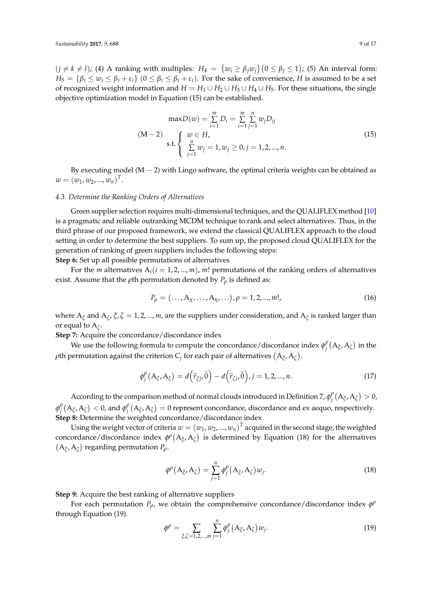$(j \neq k \neq l)$ ; (4) A ranking with multiples:  $H_4 = \{w_i \geq \beta_j w_j\}$   $(0 \leq \beta_j \leq 1)$ ; (5) An interval form:  $H_5 = \{\beta_i \leq w_i \leq \beta_i + \varepsilon_i\}$  ( $0 \leq \beta_i \leq \beta_i + \varepsilon_i$ ). For the sake of convenience, *H* is assumed to be a set of recognized weight information and  $H = H_1 \cup H_2 \cup H_3 \cup H_4 \cup H_5$ . For these situations, the single objective optimization model in Equation (15) can be established.

$$
\max D(w) = \sum_{i=1}^{m} D_i = \sum_{i=1}^{m} \sum_{j=1}^{n} w_j D_{ij}
$$
  
(M-2) 
$$
\sum_{j=1}^{m} \sum_{j=1}^{n} w_j = 1, w_j \ge 0, j = 1, 2, ..., n.
$$
 (15)

By executing model  $(M - 2)$  with Lingo software, the optimal criteria weights can be obtained as  $w = (w_1, w_2, ..., w_n)^T$ .

#### *4.3. Determine the Ranking Orders of Alternatives*

Green supplier selection requires multi-dimensional techniques, and the QUALIFLEX method [\[10\]](#page-14-8) is a pragmatic and reliable outranking MCDM technique to rank and select alternatives. Thus, in the third phrase of our proposed framework, we extend the classical QUALIFLEX approach to the cloud setting in order to determine the best suppliers. To sum up, the proposed cloud QUALIFLEX for the generation of ranking of green suppliers includes the following steps:

**Step 6:** Set up all possible permutations of alternatives

For the *m* alternatives  $A_i$  ( $i = 1, 2, ..., m$ ), *m*! permutations of the ranking orders of alternatives exist. Assume that the  $\rho$ th permutation denoted by  $P_\rho$  is defined as:

$$
P_{\rho} = (\dots, A_{\chi}, \dots, A_{\eta}, \dots), \rho = 1, 2, \dots, m!,
$$
\n(16)

where  $A_{\xi}$  and  $A_{\zeta}$ ,  $\xi$ ,  $\zeta = 1$ , 2, ..., *m*, are the suppliers under consideration, and  $A_{\xi}$  is ranked larger than or equal to A*<sup>ζ</sup>* .

**Step 7:** Acquire the concordance/discordance index

We use the following formula to compute the concordance/discordance index  $\phi_i^{\rho}$  $\int\limits_j^\rho \bigl( {\rm A}_\xi ,{\rm A}_\zeta \bigr)$  in the  $\rho$ th permutation against the criterion  $\emph{\emph{C}}_{j}$  for each pair of alternatives  $(\emph{A}_{\xi}, \emph{A}_{\zeta}).$ 

$$
\phi_j^{\rho}(A_{\xi}, A_{\zeta}) = d(\widetilde{r}_{\xi j}, \widetilde{0}) - d(\widetilde{r}_{\zeta j}, \widetilde{0}), j = 1, 2, ..., n.
$$
\n(17)

According to the comparison method of normal clouds introduced in Definition 7,  $\phi_i^{\beta}$  $\int\limits_j^\rho \bigl( {\rm A}_\xi ,{\rm A}_\zeta \bigr) > 0$ , *φ ρ*  $\frac{\rho}{j}(\mathbf{A}_\xi,\mathbf{A}_\zeta) < 0$ , and  $\phi^\rho_j$  $\hat{f}^{\rho}_j(A_\xi,A_\zeta)=0$  represent concordance, discordance and ex aequo, respectively. **Step 8:** Determine the weighted concordance/discordance index

Using the weight vector of criteria  $w = (w_1, w_2, ..., w_n)^T$  acquired in the second stage, the weighted concordance/discordance index  $\phi^{\rho}(A_{\xi}, A_{\zeta})$  is determined by Equation (18) for the alternatives  $(A_{\xi}, A_{\zeta})$  regarding permutation  $P_{\rho}$ .

$$
\phi^{\rho}(A_{\xi}, A_{\zeta}) = \sum_{j=1}^{n} \phi^{\rho}_{j}(A_{\xi}, A_{\zeta}) w_{j}.
$$
\n(18)

**Step 9:** Acquire the best ranking of alternative suppliers

For each permutation  $P_{\rho}$ , we obtain the comprehensive concordance/discordance index  $\phi^{\rho}$ through Equation (19).

$$
\phi^{\rho} = \sum_{\zeta, \zeta = 1, 2, \dots, m} \sum_{j=1}^{n} \phi_j^{\rho} \left( A_{\zeta}, A_{\zeta} \right) w_j.
$$
 (19)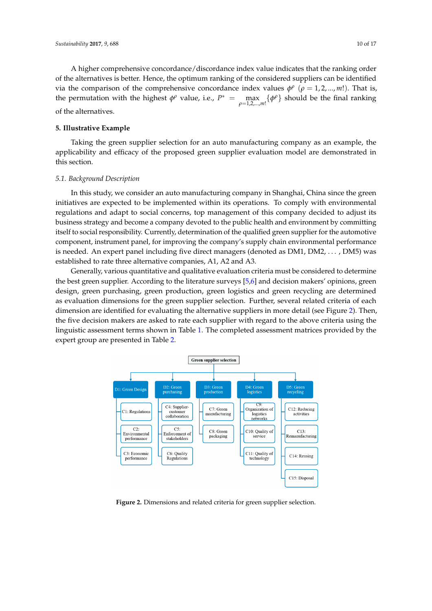A higher comprehensive concordance/discordance index value indicates that the ranking order of the alternatives is better. Hence, the optimum ranking of the considered suppliers can be identified<br>via the comparison of the comprehensive concordance index values  $t\theta$  (concelled and). That is *of the anchiances is better.* Thence, the optimum ranking or the considered suppliers can be identified via the comparison of the comprehensive concordance index values  $φ^ρ$  ( $ρ = 1, 2, ..., m!$ ). That is, the permutation with the highest  $\phi^{\rho}$  value, i.e.,  $P^* = \max_{\rho=1,2}$  $P^* = \max_{\rho=1,2,...,m!} \{\phi^{\rho}\}\$  should be the final ranking of the alternatives. A higher comprehensive concordance/discordance index value indicates that the ranking order A the complement vector the alternative intervention ranking of the construction of the constant  $\alpha$ 

### <span id="page-9-0"></span>**5. Illustrative Example 5. Illustrative Example**

Taking the green supplier selection for an auto manufacturing company as an example, the Taking the green supplier selection for an auto manufacturing company as an example, the applicability and efficacy of the proposed green supplier evaluation model are demonstrated in this section. section.

### *5.1. Background Description 5.1. Background Description*

In this study, we consider an auto manufacturing company in Shanghai, China since the green In this study, we consider an auto manufacturing company in Shanghai, China since the green initiatives are expected to be implemented within its operations. To comply with environmental initiatives are expected to be implemented within its operations. To comply with environmental regulations and adapt to social concerns, top management of this company decided to adjust its regulations and adapt to social concerns, top management of this company decided to adjust its business strategy and become a company devoted to the public health and environment by committing business strategy and become a company devoted to the public health and environment by itself to social responsibility. Currently, determination of the qualified green supplier for the automotive component, instrument panel, for improving the company's supply chain environmental performance is needed. An expert panel including five direct managers (denoted as  $\text{DM1}, \text{DM2}, \dots$  ,  $\text{DM5}$ ) was  $R$  established to rate three alternative companies, A1, A2 and A3.

Generally, various quantitative and qualitative evaluation criteria must be considered to determine Generally, various quantitative and qualitative evaluation criteria must be considered to the best green supplier. According to the literature surveys [\[5,](#page-14-18)[6\]](#page-14-4) and decision makers' opinions, green design, green purchasing, green production, green logistics and green recycling are determined as evaluation dimensions for the green supplier selection. Further, several related criteria of each dimension are identified for evaluating the alternative suppliers in more detail (see Figure [2\)](#page-9-1). Then, the five decision makers are asked to rate each supplier with regard to the above criteria using the linguistic assessment terms shown in Table [1.](#page-6-0) The completed assessment matrices provided by the expert group are presented in Table [2.](#page-10-0) the expert group are presented in Table 2.

<span id="page-9-1"></span>

**Figure 2.** Dimensions and related criteria for green supplier selection. **Figure 2.** Dimensions and related criteria for green supplier selection.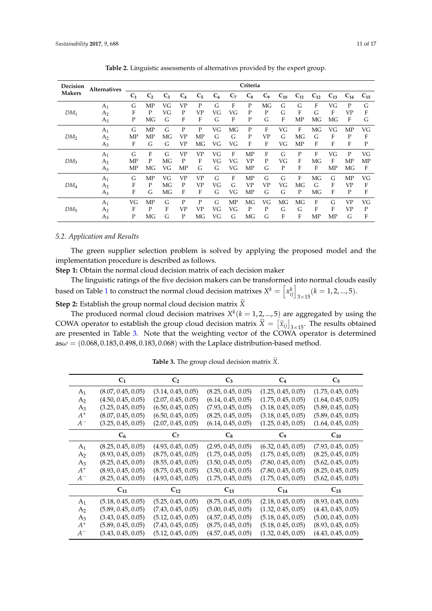<span id="page-10-0"></span>

| Decision        | <b>Alternatives</b> | Criteria       |                |       |           |                |       |       |           |                |          |          |          |             |           |             |
|-----------------|---------------------|----------------|----------------|-------|-----------|----------------|-------|-------|-----------|----------------|----------|----------|----------|-------------|-----------|-------------|
| <b>Makers</b>   |                     | C <sub>1</sub> | C <sub>2</sub> | $C_3$ | $C_4$     | C <sub>5</sub> | $C_6$ | $C_7$ | $C_8$     | C <sub>9</sub> | $C_{10}$ | $C_{11}$ | $C_{12}$ | $C_{13}$    | $C_{14}$  | $C_{15}$    |
|                 | A <sub>1</sub>      | G              | MP             | VG    | <b>VP</b> | P              | G     | F     | P         | MG             | G        | G        | F        | VG          | P         | G           |
| $DM_1$          | A <sub>2</sub>      | F              | P              | VG    | P         | VP             | VG    | VG    | P         | P              | G        | F        | G        | F           | <b>VP</b> | F           |
|                 | $A_3$               | P              | MG             | G     | F         | F              | G     | F     | P         | G              | F        | MP       | MG       | MG          | F         | G           |
|                 | A <sub>1</sub>      | G              | <b>MP</b>      | G     | P         | P              | VG    | МG    | P         | F              | VG       | F        | MG       | VG          | MP        | VG          |
| DM <sub>2</sub> | A <sub>2</sub>      | MP             | MP             | МG    | <b>VP</b> | MP             | G     | G     | P         | <b>VP</b>      | G        | МG       | G        | F           | P         | F           |
|                 | $A_3$               | F              | G              | G     | <b>VP</b> | МG             | VG    | VG    | F         | F              | VG       | MP       | F        | F           | F         | $\mathbf P$ |
|                 | $A_1$               | G              | F              | G     | <b>VP</b> | <b>VP</b>      | VG    | F     | MP        | F              | G        | P        | F        | VG          | P         | VG          |
| DM <sub>3</sub> | A <sub>2</sub>      | MP             | P              | МG    | P         | F              | VG    | VG    | <b>VP</b> | P              | VG       | F        | MG       | $\mathbf F$ | MP        | MP          |
|                 | A3                  | MP             | MG             | VG    | MP        | G              | G     | VG    | MP        | G              | P        | F        | F        | MP          | MG        | F           |
|                 | A <sub>1</sub>      | G              | MP             | VG    | <b>VP</b> | <b>VP</b>      | G     | F     | MP        | G              | G        | F        | MG       | G           | MP        | VG          |
| $DM_4$          | A <sub>2</sub>      | F              | P              | MG    | P         | VP             | VG    | G     | <b>VP</b> | <b>VP</b>      | VG       | MG       | G        | F           | <b>VP</b> | F           |
|                 | $A_3$               | F              | G              | MG    | F         | F              | G     | VG    | MP        | G              | G        | P        | MG       | F           | P         | F           |
| DM <sub>5</sub> | A <sub>1</sub>      | VG             | <b>MP</b>      | G     | P         | P              | G     | MP    | МG        | VG             | MG       | MG       | F        | G           | <b>VP</b> | VG          |
|                 | A <sub>2</sub>      | F              | P              | F     | <b>VP</b> | VP             | VG    | VG    | P         | P              | G        | G        | F        | F           | <b>VP</b> | P           |
|                 | $A_3$               | P              | MG             | G     | P         | ΜG             | VG    | G     | МG        | G              | F        | F        | MP       | MP          | G         | F           |

**Table 2.** Linguistic assessments of alternatives provided by the expert group.

#### *5.2. Application and Results*

The green supplier selection problem is solved by applying the proposed model and the implementation procedure is described as follows.

**Step 1:** Obtain the normal cloud decision matrix of each decision maker

The linguistic ratings of the five decision makers can be transformed into normal clouds easily based on Table [1](#page-6-0) to construct the normal cloud decision matrixes  $X^k = \left[ x^k_{ij} \right]_{3 \times 15} (k = 1, 2, ..., 5).$ 

**Step 2:** Establish the group normal cloud decision matrix  $\widetilde{X}$ 

The produced normal cloud decision matrixes  $X^k$  ( $k = 1, 2, ..., 5$ ) are aggregated by using the COWA operator to establish the group cloud decision matrix  $\tilde{X} = [\tilde{x}_{ij}]_{3\times 15}$ . The results obtained are presented in Table [3.](#page-10-1) Note that the weighting vector of the COWA operator is determined  $a\text{s}\omega = (0.068, 0.183, 0.498, 0.183, 0.068)$  with the Laplace distribution-based method.

<span id="page-10-1"></span>

|                | C <sub>1</sub>     | C <sub>2</sub>     | $C_3$              | $C_4$              | $C_5$              |
|----------------|--------------------|--------------------|--------------------|--------------------|--------------------|
| $A_1$          | (8.07, 0.45, 0.05) | (3.14, 0.45, 0.05) | (8.25, 0.45, 0.05) | (1.25, 0.45, 0.05) | (1.75, 0.45, 0.05) |
| A <sub>2</sub> | (4.50, 0.45, 0.05) | (2.07, 0.45, 0.05) | (6.14, 0.45, 0.05) | (1.75, 0.45, 0.05) | (1.64, 0.45, 0.05) |
| $A_3$          | (3.25, 0.45, 0.05) | (6.50, 0.45, 0.05) | (7.93, 0.45, 0.05) | (3.18, 0.45, 0.05) | (5.89, 0.45, 0.05) |
| $A^+$          | (8.07, 0.45, 0.05) | (6.50, 0.45, 0.05) | (8.25, 0.45, 0.05) | (3.18, 0.45, 0.05) | (5.89, 0.45, 0.05) |
| $A^-$          | (3.25, 0.45, 0.05) | (2.07, 0.45, 0.05) | (6.14, 0.45, 0.05) | (1.25, 0.45, 0.05) | (1.64, 0.45, 0.05) |
|                | C <sub>6</sub>     | $C_7$              | $C_8$              | C <sub>9</sub>     | $C_{10}$           |
| A <sub>1</sub> | (8.25, 0.45, 0.05) | (4.93, 0.45, 0.05) | (2.95, 0.45, 0.05) | (6.32, 0.45, 0.05) | (7.93, 0.45, 0.05) |
| A <sub>2</sub> | (8.93, 0.45, 0.05) | (8.75, 0.45, 0.05) | (1.75, 0.45, 0.05) | (1.75, 0.45, 0.05) | (8.25, 0.45, 0.05) |
| $A_3$          | (8.25, 0.45, 0.05) | (8.55, 0.45, 0.05) | (3.50, 0.45, 0.05) | (7.80, 0.45, 0.05) | (5.62, 0.45, 0.05) |
| $A^+$          | (8.93, 0.45, 0.05) | (8.75, 0.45, 0.05) | (3.50, 0.45, 0.05) | (7.80, 0.45, 0.05) | (8.25, 0.45, 0.05) |
| $A^-$          | (8.25, 0.45, 0.05) | (4.93, 0.45, 0.05) | (1.75, 0.45, 0.05) | (1.75, 0.45, 0.05) | (5.62, 0.45, 0.05) |
|                | $C_{11}$           | $C_{12}$           | $C_{13}$           | $C_{14}$           | $C_{15}$           |
| A <sub>1</sub> | (5.18, 0.45, 0.05) | (5.25, 0.45, 0.05) | (8.75, 0.45, 0.05) | (2.18, 0.45, 0.05) | (8.93, 0.45, 0.05) |
| A <sub>2</sub> | (5.89, 0.45, 0.05) | (7.43, 0.45, 0.05) | (5.00, 0.45, 0.05) | (1.32, 0.45, 0.05) | (4.43, 0.45, 0.05) |
| $A_3$          | (3.43, 0.45, 0.05) | (5.12, 0.45, 0.05) | (4.57, 0.45, 0.05) | (5.18, 0.45, 0.05) | (5.00, 0.45, 0.05) |
| $A^+$          | (5.89, 0.45, 0.05) | (7.43, 0.45, 0.05) | (8.75, 0.45, 0.05) | (5.18, 0.45, 0.05) | (8.93, 0.45, 0.05) |
| $A^-$          | (3.43, 0.45, 0.05) | (5.12, 0.45, 0.05) | (4.57, 0.45, 0.05) | (1.32, 0.45, 0.05) | (4.43, 0.45, 0.05) |

**Table 3.** The group cloud decision matrix  $\widetilde{X}$ .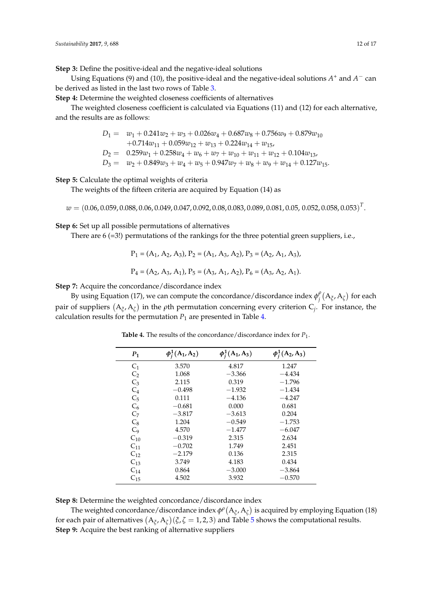**Step 3:** Define the positive-ideal and the negative-ideal solutions

Using Equations (9) and (10), the positive-ideal and the negative-ideal solutions  $A^+$  and  $A^-$  can be derived as listed in the last two rows of Table [3.](#page-10-1)

**Step 4:** Determine the weighted closeness coefficients of alternatives

The weighted closeness coefficient is calculated via Equations (11) and (12) for each alternative, and the results are as follows:

> $D_1 = w_1 + 0.241w_2 + w_3 + 0.026w_4 + 0.687w_8 + 0.756w_9 + 0.879w_{10}$  $+0.714w_{11} + 0.059w_{12} + w_{13} + 0.224w_{14} + w_{15}$  $D_2 = 0.259w_1 + 0.258w_4 + w_6 + w_7 + w_{10} + w_{11} + w_{12} + 0.104w_{13}$  $D_3 = w_2 + 0.849w_3 + w_4 + w_5 + 0.947w_7 + w_8 + w_9 + w_{14} + 0.127w_{15}$ .

**Step 5:** Calculate the optimal weights of criteria

The weights of the fifteen criteria are acquired by Equation (14) as

 $w = (0.06, 0.059, 0.088, 0.06, 0.049, 0.047, 0.092, 0.08, 0.083, 0.089, 0.081, 0.05, \, 0.052, 0.058, 0.053)^T.$ 

**Step 6:** Set up all possible permutations of alternatives

There are  $6$  (=3!) permutations of the rankings for the three potential green suppliers, i.e.,

$$
P_1 = (A_1, A_2, A_3), P_2 = (A_1, A_3, A_2), P_3 = (A_2, A_1, A_3),
$$
  

$$
P_4 = (A_2, A_3, A_1), P_5 = (A_3, A_1, A_2), P_6 = (A_3, A_2, A_1).
$$

**Step 7:** Acquire the concordance/discordance index

<span id="page-11-0"></span>By using Equation (17), we can compute the concordance/discordance index  $\phi_i^{\rho}$  $\int\limits_j^\rho \left( {\rm A}_\xi ,{\rm A}_\zeta \right)$  for each pair of suppliers A*ξ* , A*<sup>ζ</sup>* in the *ρ*th permutation concerning every criterion C*<sup>j</sup>* . For instance, the calculation results for the permutation  $P_1$  are presented in Table [4.](#page-11-0)

| $P_1$          | $\phi_i^1(A_1, A_2)$ | $\phi_i^1(A_1, A_3)$ | $\phi_i^1(A_2, A_3)$ |
|----------------|----------------------|----------------------|----------------------|
| C <sub>1</sub> | 3.570                | 4.817                | 1.247                |
| $C_2$          | 1.068                | $-3.366$             | $-4.434$             |
| $C_3$          | 2.115                | 0.319                | $-1.796$             |
| $C_4$          | $-0.498$             | $-1.932$             | $-1.434$             |
| $C_5$          | 0.111                | $-4.136$             | $-4.247$             |
| $C_6$          | $-0.681$             | 0.000                | 0.681                |
| C <sub>7</sub> | $-3.817$             | $-3.613$             | 0.204                |
| $C_8$          | 1.204                | $-0.549$             | $-1.753$             |
| C <sub>9</sub> | 4.570                | $-1.477$             | $-6.047$             |
| $C_{10}$       | $-0.319$             | 2.315                | 2.634                |
| $C_{11}$       | $-0.702$             | 1.749                | 2.451                |
| $C_{12}$       | $-2.179$             | 0.136                | 2.315                |
| $C_{13}$       | 3.749                | 4.183                | 0.434                |
| $C_{14}$       | 0.864                | $-3.000$             | $-3.864$             |
| $C_{15}$       | 4.502                | 3.932                | $-0.570$             |

**Table 4.** The results of the concordance/discordance index for *P*<sup>1</sup> .

**Step 8:** Determine the weighted concordance/discordance index

The weighted concordance/discordance index  $\phi^{\rho}(A_{\xi}, A_{\zeta})$  is acquired by employing Equation (18) for each pair of alternatives  $(A_{\zeta}, A_{\zeta})(\zeta, \zeta = 1, 2, 3)$  and Table [5](#page-12-0) shows the computational results. **Step 9:** Acquire the best ranking of alternative suppliers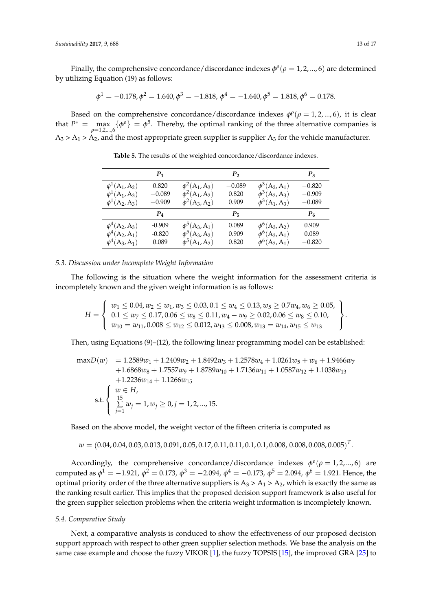Finally, the comprehensive concordance/discordance indexes  $\phi^{\rho}(\rho=1,2,...,6)$  are determined by utilizing Equation (19) as follows:

$$
\phi^1 = -0.178, \phi^2 = 1.640, \phi^3 = -1.818, \phi^4 = -1.640, \phi^5 = 1.818, \phi^6 = 0.178.
$$

<span id="page-12-0"></span>Based on the comprehensive concordance/discordance indexes  $\phi^{\rho}(\rho=1,2,...,6)$ , it is clear that  $P^* = \max_{\rho=1,2,...,6} {\{\phi^{\rho}\}} = \phi^5$ . Thereby, the optimal ranking of the three alternative companies is  $A_3 > A_1 > A_2$ , and the most appropriate green supplier is supplier  $A_3$  for the vehicle manufacturer.

|                    | $P_1$    |                      | P <sub>2</sub> |                      | $P_3$    |
|--------------------|----------|----------------------|----------------|----------------------|----------|
| $\phi^1(A_1, A_2)$ | 0.820    | $\phi^2(A_1, A_3)$   | $-0.089$       | $\phi^3(A_2, A_1)$   | $-0.820$ |
| $\phi^1(A_1, A_3)$ | $-0.089$ | $\phi^2(A_1, A_2)$   | 0.820          | $\phi^3(A_2, A_3)$   | $-0.909$ |
| $\phi^1(A_2, A_3)$ | $-0.909$ | $\phi^2(A_3, A_2)$   | 0.909          | $\phi^3(A_1, A_3)$   | $-0.089$ |
|                    | $P_4$    |                      | $P_{5}$        |                      | $P_6$    |
| $\phi^4(A_2, A_3)$ | $-0.909$ | $\phi^{5}(A_3, A_1)$ | 0.089          | $\phi^6(A_3, A_2)$   | 0.909    |
| $\phi^4(A_2, A_1)$ | $-0.820$ | $\phi^{5}(A_3, A_2)$ | 0.909          | $\phi^6(A_3, A_1)$   | 0.089    |
| $\phi^4(A_3, A_1)$ | 0.089    | $\phi^5(A_1, A_2)$   | 0.820          | $\phi^{6}(A_2, A_1)$ | $-0.820$ |

**Table 5.** The results of the weighted concordance/discordance indexes.

#### *5.3. Discussion under Incomplete Weight Information*

The following is the situation where the weight information for the assessment criteria is incompletely known and the given weight information is as follows:

$$
H = \left\{\begin{array}{l} w_1 \leq 0.04, w_2 \leq w_1, w_3 \leq 0.03, 0.1 \leq w_4 \leq 0.13, w_5 \geq 0.7 w_4, w_6 \geq 0.05, \\ 0.1 \leq w_7 \leq 0.17, 0.06 \leq w_8 \leq 0.11, w_4 - w_9 \geq 0.02, 0.06 \leq w_8 \leq 0.10, \\ w_{10} = w_{11}, 0.008 \leq w_{12} \leq 0.012, w_{13} \leq 0.008, w_{13} = w_{14}, w_{15} \leq w_{13} \end{array}\right\}
$$

Then, using Equations (9)–(12), the following linear programming model can be established:

$$
\max D(w) = 1.2589w_1 + 1.2409w_2 + 1.8492w_3 + 1.2578w_4 + 1.0261w_5 + w_6 + 1.9466w_7
$$
  
+1.6868w<sub>8</sub> + 1.7557w<sub>9</sub> + 1.8789w<sub>10</sub> + 1.7136w<sub>11</sub> + 1.0587w<sub>12</sub> + 1.1038w<sub>13</sub>  
+1.2236w<sub>14</sub> + 1.1266w<sub>15</sub>  
s.t. 
$$
\begin{cases} w \in H, \\ \sum_{j=1}^{15} w_j = 1, w_j \ge 0, j = 1, 2, ..., 15. \end{cases}
$$

Based on the above model, the weight vector of the fifteen criteria is computed as

$$
w = (0.04, 0.04, 0.03, 0.013, 0.091, 0.05, 0.17, 0.11, 0.11, 0.1, 0.1, 0.008, 0.008, 0.008, 0.005)^T.
$$

Accordingly, the comprehensive concordance/discordance indexes  $\phi^{\rho}(\rho = 1, 2, ..., 6)$  are computed as  $φ$ <sup>1</sup> = −1.921,  $φ$ <sup>2</sup> = 0.173,  $φ$ <sup>3</sup> = −2.094,  $φ$ <sup>4</sup> = −0.173,  $φ$ <sup>5</sup> = 2.094,  $φ$ <sup>6</sup> = 1.921. Hence, the optimal priority order of the three alternative suppliers is  $A_3 > A_1 > A_2$ , which is exactly the same as the ranking result earlier. This implies that the proposed decision support framework is also useful for the green supplier selection problems when the criteria weight information is incompletely known.

#### *5.4. Comparative Study*

Next, a comparative analysis is conduced to show the effectiveness of our proposed decision support approach with respect to other green supplier selection methods. We base the analysis on the same case example and choose the fuzzy VIKOR [\[1\]](#page-14-0), the fuzzy TOPSIS [\[15\]](#page-14-12), the improved GRA [\[25\]](#page-15-4) to

.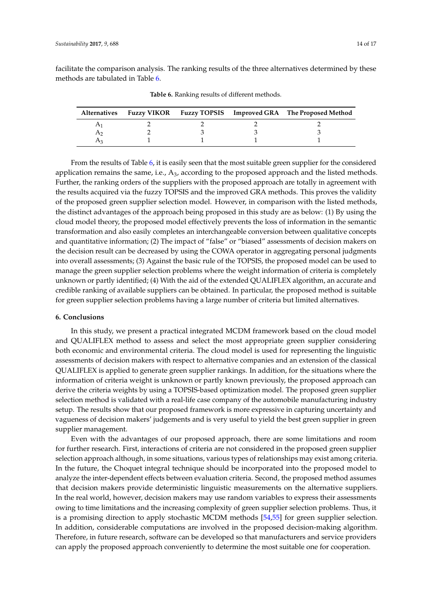<span id="page-13-1"></span>facilitate the comparison analysis. The ranking results of the three alternatives determined by these methods are tabulated in Table [6.](#page-13-1)

|  |  | Alternatives Fuzzy VIKOR Fuzzy TOPSIS Improved GRA The Proposed Method |
|--|--|------------------------------------------------------------------------|
|  |  |                                                                        |
|  |  |                                                                        |
|  |  |                                                                        |

**Table 6.** Ranking results of different methods.

From the results of Table [6,](#page-13-1) it is easily seen that the most suitable green supplier for the considered application remains the same, i.e.,  $A_3$ , according to the proposed approach and the listed methods. Further, the ranking orders of the suppliers with the proposed approach are totally in agreement with the results acquired via the fuzzy TOPSIS and the improved GRA methods. This proves the validity of the proposed green supplier selection model. However, in comparison with the listed methods, the distinct advantages of the approach being proposed in this study are as below: (1) By using the cloud model theory, the proposed model effectively prevents the loss of information in the semantic transformation and also easily completes an interchangeable conversion between qualitative concepts and quantitative information; (2) The impact of "false" or "biased" assessments of decision makers on the decision result can be decreased by using the COWA operator in aggregating personal judgments into overall assessments; (3) Against the basic rule of the TOPSIS, the proposed model can be used to manage the green supplier selection problems where the weight information of criteria is completely unknown or partly identified; (4) With the aid of the extended QUALIFLEX algorithm, an accurate and credible ranking of available suppliers can be obtained. In particular, the proposed method is suitable for green supplier selection problems having a large number of criteria but limited alternatives.

#### <span id="page-13-0"></span>**6. Conclusions**

In this study, we present a practical integrated MCDM framework based on the cloud model and QUALIFLEX method to assess and select the most appropriate green supplier considering both economic and environmental criteria. The cloud model is used for representing the linguistic assessments of decision makers with respect to alternative companies and an extension of the classical QUALIFLEX is applied to generate green supplier rankings. In addition, for the situations where the information of criteria weight is unknown or partly known previously, the proposed approach can derive the criteria weights by using a TOPSIS-based optimization model. The proposed green supplier selection method is validated with a real-life case company of the automobile manufacturing industry setup. The results show that our proposed framework is more expressive in capturing uncertainty and vagueness of decision makers' judgements and is very useful to yield the best green supplier in green supplier management.

Even with the advantages of our proposed approach, there are some limitations and room for further research. First, interactions of criteria are not considered in the proposed green supplier selection approach although, in some situations, various types of relationships may exist among criteria. In the future, the Choquet integral technique should be incorporated into the proposed model to analyze the inter-dependent effects between evaluation criteria. Second, the proposed method assumes that decision makers provide deterministic linguistic measurements on the alternative suppliers. In the real world, however, decision makers may use random variables to express their assessments owing to time limitations and the increasing complexity of green supplier selection problems. Thus, it is a promising direction to apply stochastic MCDM methods [\[54](#page-16-9)[,55\]](#page-16-10) for green supplier selection. In addition, considerable computations are involved in the proposed decision-making algorithm. Therefore, in future research, software can be developed so that manufacturers and service providers can apply the proposed approach conveniently to determine the most suitable one for cooperation.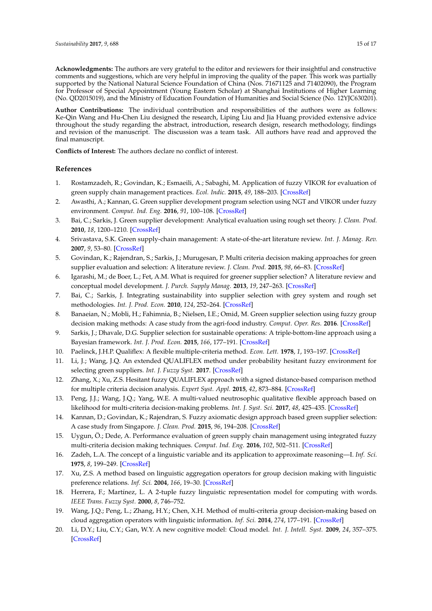**Acknowledgments:** The authors are very grateful to the editor and reviewers for their insightful and constructive comments and suggestions, which are very helpful in improving the quality of the paper. This work was partially supported by the National Natural Science Foundation of China (Nos. 71671125 and 71402090), the Program for Professor of Special Appointment (Young Eastern Scholar) at Shanghai Institutions of Higher Learning (No. QD2015019), and the Ministry of Education Foundation of Humanities and Social Science (No. 12YJC630201).

**Author Contributions:** The individual contribution and responsibilities of the authors were as follows: Ke-Qin Wang and Hu-Chen Liu designed the research, Liping Liu and Jia Huang provided extensive advice throughout the study regarding the abstract, introduction, research design, research methodology, findings and revision of the manuscript. The discussion was a team task. All authors have read and approved the final manuscript.

**Conflicts of Interest:** The authors declare no conflict of interest.

#### **References**

- <span id="page-14-0"></span>1. Rostamzadeh, R.; Govindan, K.; Esmaeili, A.; Sabaghi, M. Application of fuzzy VIKOR for evaluation of green supply chain management practices. *Ecol. Indic.* **2015**, *49*, 188–203. [\[CrossRef\]](http://dx.doi.org/10.1016/j.ecolind.2014.09.045)
- <span id="page-14-1"></span>2. Awasthi, A.; Kannan, G. Green supplier development program selection using NGT and VIKOR under fuzzy environment. *Comput. Ind. Eng.* **2016**, *91*, 100–108. [\[CrossRef\]](http://dx.doi.org/10.1016/j.cie.2015.11.011)
- <span id="page-14-2"></span>3. Bai, C.; Sarkis, J. Green supplier development: Analytical evaluation using rough set theory. *J. Clean. Prod.* **2010**, *18*, 1200–1210. [\[CrossRef\]](http://dx.doi.org/10.1016/j.jclepro.2010.01.016)
- <span id="page-14-3"></span>4. Srivastava, S.K. Green supply-chain management: A state-of-the-art literature review. *Int. J. Manag. Rev.* **2007**, *9*, 53–80. [\[CrossRef\]](http://dx.doi.org/10.1111/j.1468-2370.2007.00202.x)
- <span id="page-14-18"></span>5. Govindan, K.; Rajendran, S.; Sarkis, J.; Murugesan, P. Multi criteria decision making approaches for green supplier evaluation and selection: A literature review. *J. Clean. Prod.* **2015**, *98*, 66–83. [\[CrossRef\]](http://dx.doi.org/10.1016/j.jclepro.2013.06.046)
- <span id="page-14-4"></span>6. Igarashi, M.; de Boer, L.; Fet, A.M. What is required for greener supplier selection? A literature review and conceptual model development. *J. Purch. Supply Manag.* **2013**, *19*, 247–263. [\[CrossRef\]](http://dx.doi.org/10.1016/j.pursup.2013.06.001)
- <span id="page-14-5"></span>7. Bai, C.; Sarkis, J. Integrating sustainability into supplier selection with grey system and rough set methodologies. *Int. J. Prod. Econ.* **2010**, *124*, 252–264. [\[CrossRef\]](http://dx.doi.org/10.1016/j.ijpe.2009.11.023)
- <span id="page-14-6"></span>8. Banaeian, N.; Mobli, H.; Fahimnia, B.; Nielsen, I.E.; Omid, M. Green supplier selection using fuzzy group decision making methods: A case study from the agri-food industry. *Comput. Oper. Res.* **2016**. [\[CrossRef\]](http://dx.doi.org/10.1016/j.cor.2016.02.015)
- <span id="page-14-7"></span>9. Sarkis, J.; Dhavale, D.G. Supplier selection for sustainable operations: A triple-bottom-line approach using a Bayesian framework. *Int. J. Prod. Econ.* **2015**, *166*, 177–191. [\[CrossRef\]](http://dx.doi.org/10.1016/j.ijpe.2014.11.007)
- <span id="page-14-8"></span>10. Paelinck, J.H.P. Qualiflex: A flexible multiple-criteria method. *Econ. Lett.* **1978**, *1*, 193–197. [\[CrossRef\]](http://dx.doi.org/10.1016/0165-1765(78)90023-X)
- <span id="page-14-9"></span>11. Li, J.; Wang, J.Q. An extended QUALIFLEX method under probability hesitant fuzzy environment for selecting green suppliers. *Int. J. Fuzzy Syst.* **2017**. [\[CrossRef\]](http://dx.doi.org/10.1007/s40815-017-0310-5)
- 12. Zhang, X.; Xu, Z.S. Hesitant fuzzy QUALIFLEX approach with a signed distance-based comparison method for multiple criteria decision analysis. *Expert Syst. Appl.* **2015**, *42*, 873–884. [\[CrossRef\]](http://dx.doi.org/10.1016/j.eswa.2014.08.056)
- <span id="page-14-10"></span>13. Peng, J.J.; Wang, J.Q.; Yang, W.E. A multi-valued neutrosophic qualitative flexible approach based on likelihood for multi-criteria decision-making problems. *Int. J. Syst. Sci.* **2017**, *48*, 425–435. [\[CrossRef\]](http://dx.doi.org/10.1080/00207721.2016.1218975)
- <span id="page-14-11"></span>14. Kannan, D.; Govindan, K.; Rajendran, S. Fuzzy axiomatic design approach based green supplier selection: A case study from Singapore. *J. Clean. Prod.* **2015**, *96*, 194–208. [\[CrossRef\]](http://dx.doi.org/10.1016/j.jclepro.2013.12.076)
- <span id="page-14-12"></span>15. Uygun, Ö.; Dede, A. Performance evaluation of green supply chain management using integrated fuzzy multi-criteria decision making techniques. *Comput. Ind. Eng.* **2016**, *102*, 502–511. [\[CrossRef\]](http://dx.doi.org/10.1016/j.cie.2016.02.020)
- <span id="page-14-13"></span>16. Zadeh, L.A. The concept of a linguistic variable and its application to approximate reasoning—I. *Inf. Sci.* **1975**, *8*, 199–249. [\[CrossRef\]](http://dx.doi.org/10.1016/0020-0255(75)90036-5)
- <span id="page-14-14"></span>17. Xu, Z.S. A method based on linguistic aggregation operators for group decision making with linguistic preference relations. *Inf. Sci.* **2004**, *166*, 19–30. [\[CrossRef\]](http://dx.doi.org/10.1016/j.ins.2003.10.006)
- <span id="page-14-15"></span>18. Herrera, F.; Martínez, L. A 2-tuple fuzzy linguistic representation model for computing with words. *IEEE Trans. Fuzzy Syst.* **2000**, *8*, 746–752.
- <span id="page-14-16"></span>19. Wang, J.Q.; Peng, L.; Zhang, H.Y.; Chen, X.H. Method of multi-criteria group decision-making based on cloud aggregation operators with linguistic information. *Inf. Sci.* **2014**, *274*, 177–191. [\[CrossRef\]](http://dx.doi.org/10.1016/j.ins.2014.02.130)
- <span id="page-14-17"></span>20. Li, D.Y.; Liu, C.Y.; Gan, W.Y. A new cognitive model: Cloud model. *Int. J. Intell. Syst.* **2009**, *24*, 357–375. [\[CrossRef\]](http://dx.doi.org/10.1002/int.20340)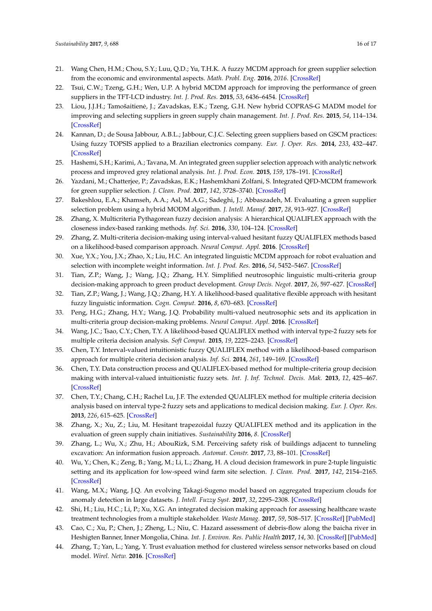- <span id="page-15-0"></span>21. Wang Chen, H.M.; Chou, S.Y.; Luu, Q.D.; Yu, T.H.K. A fuzzy MCDM approach for green supplier selection from the economic and environmental aspects. *Math. Probl. Eng.* **2016**, *2016*. [\[CrossRef\]](http://dx.doi.org/10.1155/2016/8097386)
- <span id="page-15-1"></span>22. Tsui, C.W.; Tzeng, G.H.; Wen, U.P. A hybrid MCDM approach for improving the performance of green suppliers in the TFT-LCD industry. *Int. J. Prod. Res.* **2015**, *53*, 6436–6454. [\[CrossRef\]](http://dx.doi.org/10.1080/00207543.2014.935829)
- <span id="page-15-2"></span>23. Liou, J.J.H.; Tamošaitienė, J.; Zavadskas, E.K.; Tzeng, G.H. New hybrid COPRAS-G MADM model for improving and selecting suppliers in green supply chain management. *Int. J. Prod. Res.* **2015**, *54*, 114–134. [\[CrossRef\]](http://dx.doi.org/10.1080/00207543.2015.1010747)
- <span id="page-15-3"></span>24. Kannan, D.; de Sousa Jabbour, A.B.L.; Jabbour, C.J.C. Selecting green suppliers based on GSCM practices: Using fuzzy TOPSIS applied to a Brazilian electronics company. *Eur. J. Oper. Res.* **2014**, *233*, 432–447. [\[CrossRef\]](http://dx.doi.org/10.1016/j.ejor.2013.07.023)
- <span id="page-15-4"></span>25. Hashemi, S.H.; Karimi, A.; Tavana, M. An integrated green supplier selection approach with analytic network process and improved grey relational analysis. *Int. J. Prod. Econ.* **2015**, *159*, 178–191. [\[CrossRef\]](http://dx.doi.org/10.1016/j.ijpe.2014.09.027)
- <span id="page-15-5"></span>26. Yazdani, M.; Chatterjee, P.; Zavadskas, E.K.; Hashemkhani Zolfani, S. Integrated QFD-MCDM framework for green supplier selection. *J. Clean. Prod.* **2017**, *142*, 3728–3740. [\[CrossRef\]](http://dx.doi.org/10.1016/j.jclepro.2016.10.095)
- <span id="page-15-6"></span>27. Bakeshlou, E.A.; Khamseh, A.A.; Asl, M.A.G.; Sadeghi, J.; Abbaszadeh, M. Evaluating a green supplier selection problem using a hybrid MODM algorithm. *J. Intell. Manuf.* **2017**, *28*, 913–927. [\[CrossRef\]](http://dx.doi.org/10.1007/s10845-014-1028-y)
- <span id="page-15-7"></span>28. Zhang, X. Multicriteria Pythagorean fuzzy decision analysis: A hierarchical QUALIFLEX approach with the closeness index-based ranking methods. *Inf. Sci.* **2016**, *330*, 104–124. [\[CrossRef\]](http://dx.doi.org/10.1016/j.ins.2015.10.012)
- <span id="page-15-8"></span>29. Zhang, Z. Multi-criteria decision-making using interval-valued hesitant fuzzy QUALIFLEX methods based on a likelihood-based comparison approach. *Neural Comput. Appl.* **2016**. [\[CrossRef\]](http://dx.doi.org/10.1007/s00521-015-2156-9)
- <span id="page-15-9"></span>30. Xue, Y.X.; You, J.X.; Zhao, X.; Liu, H.C. An integrated linguistic MCDM approach for robot evaluation and selection with incomplete weight information. *Int. J. Prod. Res.* **2016**, *54*, 5452–5467. [\[CrossRef\]](http://dx.doi.org/10.1080/00207543.2016.1146418)
- <span id="page-15-10"></span>31. Tian, Z.P.; Wang, J.; Wang, J.Q.; Zhang, H.Y. Simplified neutrosophic linguistic multi-criteria group decision-making approach to green product development. *Group Decis. Negot.* **2017**, *26*, 597–627. [\[CrossRef\]](http://dx.doi.org/10.1007/s10726-016-9479-5)
- <span id="page-15-11"></span>32. Tian, Z.P.; Wang, J.; Wang, J.Q.; Zhang, H.Y. A likelihood-based qualitative flexible approach with hesitant fuzzy linguistic information. *Cogn. Comput.* **2016**, *8*, 670–683. [\[CrossRef\]](http://dx.doi.org/10.1007/s12559-016-9400-1)
- <span id="page-15-12"></span>33. Peng, H.G.; Zhang, H.Y.; Wang, J.Q. Probability multi-valued neutrosophic sets and its application in multi-criteria group decision-making problems. *Neural Comput. Appl.* **2016**. [\[CrossRef\]](http://dx.doi.org/10.1007/s00521-016-2702-0)
- <span id="page-15-13"></span>34. Wang, J.C.; Tsao, C.Y.; Chen, T.Y. A likelihood-based QUALIFLEX method with interval type-2 fuzzy sets for multiple criteria decision analysis. *Soft Comput.* **2015**, *19*, 2225–2243. [\[CrossRef\]](http://dx.doi.org/10.1007/s00500-014-1404-8)
- <span id="page-15-14"></span>35. Chen, T.Y. Interval-valued intuitionistic fuzzy QUALIFLEX method with a likelihood-based comparison approach for multiple criteria decision analysis. *Inf. Sci.* **2014**, *261*, 149–169. [\[CrossRef\]](http://dx.doi.org/10.1016/j.ins.2013.08.054)
- <span id="page-15-15"></span>36. Chen, T.Y. Data construction process and QUALIFLEX-based method for multiple-criteria group decision making with interval-valued intuitionistic fuzzy sets. *Int. J. Inf. Technol. Decis. Mak.* **2013**, *12*, 425–467. [\[CrossRef\]](http://dx.doi.org/10.1142/S021962201350017X)
- <span id="page-15-16"></span>37. Chen, T.Y.; Chang, C.H.; Rachel Lu, J.F. The extended QUALIFLEX method for multiple criteria decision analysis based on interval type-2 fuzzy sets and applications to medical decision making. *Eur. J. Oper. Res.* **2013**, *226*, 615–625. [\[CrossRef\]](http://dx.doi.org/10.1016/j.ejor.2012.11.038)
- <span id="page-15-17"></span>38. Zhang, X.; Xu, Z.; Liu, M. Hesitant trapezoidal fuzzy QUALIFLEX method and its application in the evaluation of green supply chain initiatives. *Sustainability* **2016**, *8*. [\[CrossRef\]](http://dx.doi.org/10.3390/su8090952)
- <span id="page-15-18"></span>39. Zhang, L.; Wu, X.; Zhu, H.; AbouRizk, S.M. Perceiving safety risk of buildings adjacent to tunneling excavation: An information fusion approach. *Automat. Constr.* **2017**, *73*, 88–101. [\[CrossRef\]](http://dx.doi.org/10.1016/j.autcon.2016.09.003)
- <span id="page-15-19"></span>40. Wu, Y.; Chen, K.; Zeng, B.; Yang, M.; Li, L.; Zhang, H. A cloud decision framework in pure 2-tuple linguistic setting and its application for low-speed wind farm site selection. *J. Clean. Prod.* **2017**, *142*, 2154–2165. [\[CrossRef\]](http://dx.doi.org/10.1016/j.jclepro.2016.11.067)
- <span id="page-15-20"></span>41. Wang, M.X.; Wang, J.Q. An evolving Takagi-Sugeno model based on aggregated trapezium clouds for anomaly detection in large datasets. *J. Intell. Fuzzy Syst.* **2017**, *32*, 2295–2308. [\[CrossRef\]](http://dx.doi.org/10.3233/JIFS-16254)
- <span id="page-15-21"></span>42. Shi, H.; Liu, H.C.; Li, P.; Xu, X.G. An integrated decision making approach for assessing healthcare waste treatment technologies from a multiple stakeholder. *Waste Manag.* **2017**, *59*, 508–517. [\[CrossRef\]](http://dx.doi.org/10.1016/j.wasman.2016.11.016) [\[PubMed\]](http://www.ncbi.nlm.nih.gov/pubmed/27866995)
- <span id="page-15-22"></span>43. Cao, C.; Xu, P.; Chen, J.; Zheng, L.; Niu, C. Hazard assessment of debris-flow along the baicha river in Heshigten Banner, Inner Mongolia, China. *Int. J. Environ. Res. Public Health* **2017**, *14*, 30. [\[CrossRef\]](http://dx.doi.org/10.3390/ijerph14010030) [\[PubMed\]](http://www.ncbi.nlm.nih.gov/pubmed/28036079)
- <span id="page-15-23"></span>44. Zhang, T.; Yan, L.; Yang, Y. Trust evaluation method for clustered wireless sensor networks based on cloud model. *Wirel. Netw.* **2016**. [\[CrossRef\]](http://dx.doi.org/10.1007/s11276-016-1368-y)